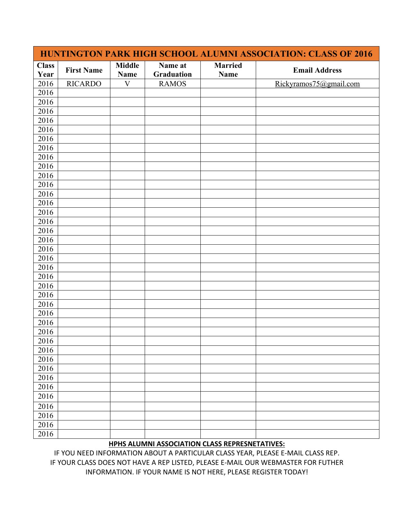| HUNTINGTON PARK HIGH SCHOOL ALUMNI ASSOCIATION: CLASS OF 2016 |                   |                              |                       |                        |                        |  |  |
|---------------------------------------------------------------|-------------------|------------------------------|-----------------------|------------------------|------------------------|--|--|
| <b>Class</b><br>Year                                          | <b>First Name</b> | <b>Middle</b><br><b>Name</b> | Name at<br>Graduation | <b>Married</b><br>Name | <b>Email Address</b>   |  |  |
| 2016                                                          | <b>RICARDO</b>    | V                            | <b>RAMOS</b>          |                        | Rickyramos75@gmail.com |  |  |
| 2016                                                          |                   |                              |                       |                        |                        |  |  |
| 2016                                                          |                   |                              |                       |                        |                        |  |  |
| 2016                                                          |                   |                              |                       |                        |                        |  |  |
| 2016                                                          |                   |                              |                       |                        |                        |  |  |
| 2016                                                          |                   |                              |                       |                        |                        |  |  |
| 2016                                                          |                   |                              |                       |                        |                        |  |  |
| 2016                                                          |                   |                              |                       |                        |                        |  |  |
| 2016                                                          |                   |                              |                       |                        |                        |  |  |
| 2016                                                          |                   |                              |                       |                        |                        |  |  |
| 2016                                                          |                   |                              |                       |                        |                        |  |  |
| 2016                                                          |                   |                              |                       |                        |                        |  |  |
| 2016                                                          |                   |                              |                       |                        |                        |  |  |
| 2016                                                          |                   |                              |                       |                        |                        |  |  |
| 2016                                                          |                   |                              |                       |                        |                        |  |  |
| 2016                                                          |                   |                              |                       |                        |                        |  |  |
| 2016                                                          |                   |                              |                       |                        |                        |  |  |
| 2016                                                          |                   |                              |                       |                        |                        |  |  |
| 2016                                                          |                   |                              |                       |                        |                        |  |  |
| 2016                                                          |                   |                              |                       |                        |                        |  |  |
| 2016                                                          |                   |                              |                       |                        |                        |  |  |
| 2016                                                          |                   |                              |                       |                        |                        |  |  |
| 2016                                                          |                   |                              |                       |                        |                        |  |  |
| 2016                                                          |                   |                              |                       |                        |                        |  |  |
| 2016                                                          |                   |                              |                       |                        |                        |  |  |
| 2016                                                          |                   |                              |                       |                        |                        |  |  |
| 2016                                                          |                   |                              |                       |                        |                        |  |  |
| 2016                                                          |                   |                              |                       |                        |                        |  |  |
| 2016                                                          |                   |                              |                       |                        |                        |  |  |
| 2016                                                          |                   |                              |                       |                        |                        |  |  |
| 2016                                                          |                   |                              |                       |                        |                        |  |  |
| 2016                                                          |                   |                              |                       |                        |                        |  |  |
| 2016                                                          |                   |                              |                       |                        |                        |  |  |
| 2016                                                          |                   |                              |                       |                        |                        |  |  |
| 2016                                                          |                   |                              |                       |                        |                        |  |  |
| 2016                                                          |                   |                              |                       |                        |                        |  |  |
| 2016                                                          |                   |                              |                       |                        |                        |  |  |
| 2016                                                          |                   |                              |                       |                        |                        |  |  |
| 2016                                                          |                   |                              |                       |                        |                        |  |  |

## **HPHS ALUMNI ASSOCIATION CLASS REPRESNETATIVES:**

IF YOU NEED INFORMATION ABOUT A PARTICULAR CLASS YEAR, PLEASE E-MAIL CLASS REP. IF YOUR CLASS DOES NOT HAVE A REP LISTED, PLEASE E-MAIL OUR WEBMASTER FOR FUTHER INFORMATION. IF YOUR NAME IS NOT HERE, PLEASE REGISTER TODAY!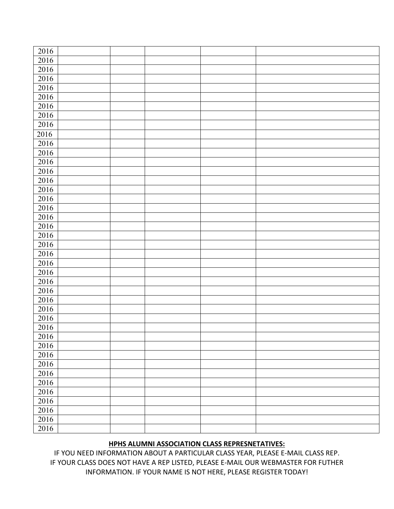| 2016     |  |  |  |
|----------|--|--|--|
| $2016\,$ |  |  |  |
| 2016     |  |  |  |
| 2016     |  |  |  |
| 2016     |  |  |  |
| 2016     |  |  |  |
| $2016\,$ |  |  |  |
| 2016     |  |  |  |
| 2016     |  |  |  |
| 2016     |  |  |  |
| 2016     |  |  |  |
| $2016\,$ |  |  |  |
| 2016     |  |  |  |
| 2016     |  |  |  |
| 2016     |  |  |  |
| 2016     |  |  |  |
| 2016     |  |  |  |
| 2016     |  |  |  |
| 2016     |  |  |  |
| $2016\,$ |  |  |  |
| 2016     |  |  |  |
| 2016     |  |  |  |
| 2016     |  |  |  |
| 2016     |  |  |  |
| $2016\,$ |  |  |  |
| 2016     |  |  |  |
| 2016     |  |  |  |
| 2016     |  |  |  |
| 2016     |  |  |  |
| 2016     |  |  |  |
| 2016     |  |  |  |
| 2016     |  |  |  |
| 2016     |  |  |  |
| 2016     |  |  |  |
| 2016     |  |  |  |
| 2016     |  |  |  |
| 2016     |  |  |  |
| 2016     |  |  |  |
| 2016     |  |  |  |
| 2016     |  |  |  |
| 2016     |  |  |  |
| 2016     |  |  |  |
|          |  |  |  |

## **HPHS ALUMNI ASSOCIATION CLASS REPRESNETATIVES:**

IF YOU NEED INFORMATION ABOUT A PARTICULAR CLASS YEAR, PLEASE E-MAIL CLASS REP. IF YOUR CLASS DOES NOT HAVE A REP LISTED, PLEASE E-MAIL OUR WEBMASTER FOR FUTHER INFORMATION. IF YOUR NAME IS NOT HERE, PLEASE REGISTER TODAY!